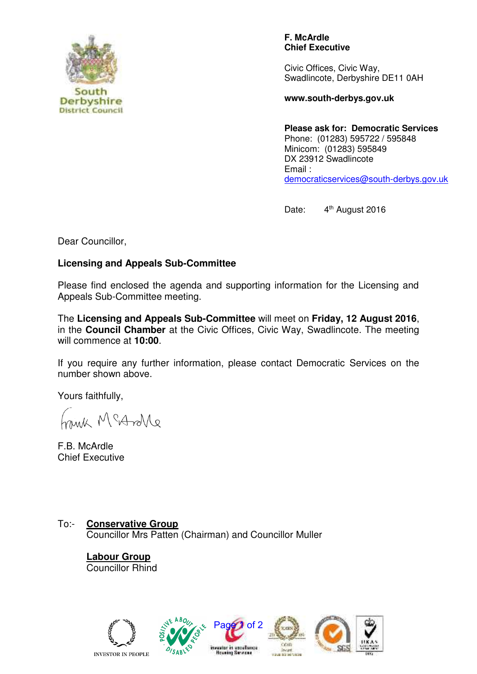

**F. McArdle Chief Executive**

Civic Offices, Civic Way, Swadlincote, Derbyshire DE11 0AH

**www.south-derbys.gov.uk** 

**Please ask for: Democratic Services** Phone: (01283) 595722 / 595848 Minicom: (01283) 595849 DX 23912 Swadlincote Email : [democraticservices@south-derbys.gov.uk](mailto:democraticservices@south-derbys.gov.uk) 

Date: 4<sup>th</sup> August 2016

Dear Councillor,

## **Licensing and Appeals Sub-Committee**

Please find enclosed the agenda and supporting information for the Licensing and Appeals Sub-Committee meeting.

The **Licensing and Appeals Sub-Committee** will meet on **Friday, 12 August 2016**, in the **Council Chamber** at the Civic Offices, Civic Way, Swadlincote. The meeting will commence at **10:00**.

If you require any further information, please contact Democratic Services on the number shown above.

Yours faithfully,

eNorto? M shine

F.B. McArdle Chief Executive

To:- **Conservative Group**  Councillor Mrs Patten (Chairman) and Councillor Muller

> **Labour Group** Councillor Rhind